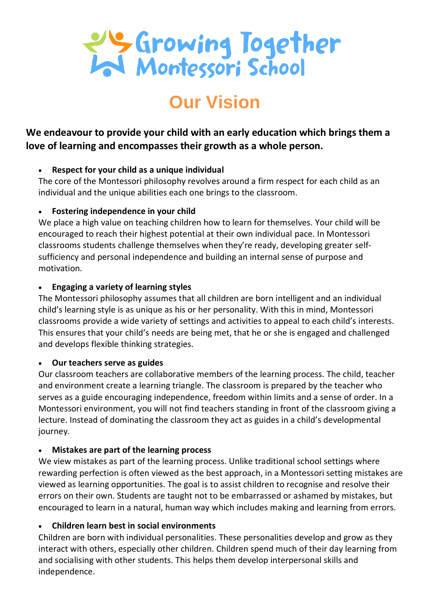

# **Our Vision**

**We endeavour to provide your child with an early education which brings them a love of learning and encompasses their growth as a whole person.**

## **Respect for your child as a unique individual**

The core of the Montessori philosophy revolves around a firm respect for each child as an individual and the unique abilities each one brings to the classroom.

# **Fostering independence in your child**

We place a high value on teaching children how to learn for themselves. Your child will be encouraged to reach their highest potential at their own individual pace. In Montessori classrooms students challenge themselves when they're ready, developing greater selfsufficiency and personal independence and building an internal sense of purpose and motivation.

# **Engaging a variety of learning styles**

The Montessori philosophy assumes that all children are born intelligent and an individual child's learning style is as unique as his or her personality. With this in mind, Montessori classrooms provide a wide variety of settings and activities to appeal to each child's interests. This ensures that your child's needs are being met, that he or she is engaged and challenged and develops flexible thinking strategies.

# **Our teachers serve as guides**

Our classroom teachers are collaborative members of the learning process. The child, teacher and environment create a learning triangle. The classroom is prepared by the teacher who serves as a guide encouraging independence, freedom within limits and a sense of order. In a Montessori environment, you will not find teachers standing in front of the classroom giving a lecture. Instead of dominating the classroom they act as guides in a child's developmental journey.

# **Mistakes are part of the learning process**

We view mistakes as part of the learning process. Unlike traditional school settings where rewarding perfection is often viewed as the best approach, in a Montessori setting mistakes are viewed as learning opportunities. The goal is to assist children to recognise and resolve their errors on their own. Students are taught not to be embarrassed or ashamed by mistakes, but encouraged to learn in a natural, human way which includes making and learning from errors.

# **Children learn best in social environments**

Children are born with individual personalities. These personalities develop and grow as they interact with others, especially other children. Children spend much of their day learning from and socialising with other students. This helps them develop interpersonal skills and independence.